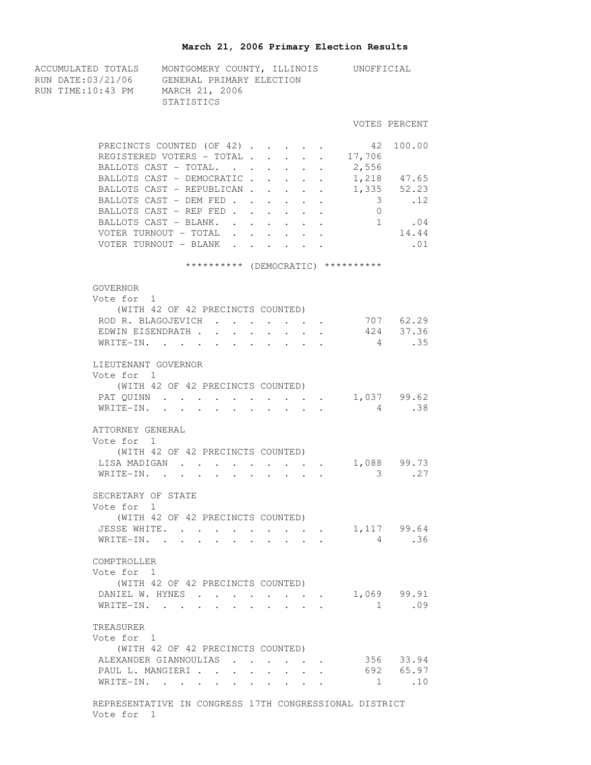## **March 21, 2006 Primary Election Results**

| ACCUMULATED TOTALS MONTGOMERY COUNTY, ILLINOIS UNOFFICIAL<br>RUN DATE:03/21/06 GENERAL PRIMARY ELECTION<br>RUN TIME:10:43 PM MARCH 21, 2006 | STATISTICS                                                                      |                                              |                                                             |                                                           |                      |                                    |                        |
|---------------------------------------------------------------------------------------------------------------------------------------------|---------------------------------------------------------------------------------|----------------------------------------------|-------------------------------------------------------------|-----------------------------------------------------------|----------------------|------------------------------------|------------------------|
|                                                                                                                                             |                                                                                 |                                              |                                                             |                                                           |                      |                                    | VOTES PERCENT          |
|                                                                                                                                             | PRECINCTS COUNTED (OF 42)<br>REGISTERED VOTERS - TOTAL<br>BALLOTS CAST - TOTAL. |                                              |                                                             | $\mathbf{r}$ , $\mathbf{r}$ , $\mathbf{r}$ , $\mathbf{r}$ | $\ddot{\phantom{0}}$ | 42 100.00<br>17,706<br>2,556       |                        |
|                                                                                                                                             | BALLOTS CAST - DEMOCRATIC 1,218 47.65                                           |                                              |                                                             |                                                           |                      |                                    |                        |
|                                                                                                                                             | BALLOTS CAST - REPUBLICAN 1,335 52.23                                           |                                              |                                                             |                                                           |                      |                                    |                        |
|                                                                                                                                             | BALLOTS CAST - DEM FED                                                          |                                              |                                                             |                                                           |                      | $3 \qquad \qquad .12$              |                        |
|                                                                                                                                             | BALLOTS CAST - REP FED                                                          |                                              |                                                             |                                                           |                      | $\overline{0}$                     |                        |
|                                                                                                                                             | BALLOTS CAST - BLANK. 1 .04                                                     |                                              |                                                             |                                                           |                      |                                    |                        |
|                                                                                                                                             | VOTER TURNOUT - TOTAL .                                                         |                                              |                                                             |                                                           |                      |                                    | 14.44                  |
|                                                                                                                                             | VOTER TURNOUT - BLANK                                                           | $\mathbf{L}$                                 |                                                             |                                                           |                      |                                    | .01                    |
|                                                                                                                                             |                                                                                 |                                              |                                                             |                                                           |                      | ********** (DEMOCRATIC) ********** |                        |
| GOVERNOR                                                                                                                                    |                                                                                 |                                              |                                                             |                                                           |                      |                                    |                        |
| Vote for 1                                                                                                                                  | (WITH 42 OF 42 PRECINCTS COUNTED)                                               |                                              |                                                             |                                                           |                      |                                    |                        |
|                                                                                                                                             | ROD R. BLAGOJEVICH                                                              |                                              |                                                             |                                                           |                      |                                    |                        |
|                                                                                                                                             | EDWIN EISENDRATH                                                                | $\ddot{\phantom{0}}$<br>$\ddot{\phantom{a}}$ |                                                             |                                                           |                      |                                    | 707 62.29<br>424 37.36 |
|                                                                                                                                             | WRITE-IN.                                                                       |                                              | $\sim$                                                      |                                                           |                      | $4\overline{4}$                    | .35                    |
|                                                                                                                                             |                                                                                 |                                              |                                                             |                                                           |                      |                                    |                        |
| LIEUTENANT GOVERNOR                                                                                                                         |                                                                                 |                                              |                                                             |                                                           |                      |                                    |                        |
| Vote for 1                                                                                                                                  |                                                                                 |                                              |                                                             |                                                           |                      |                                    |                        |
|                                                                                                                                             | (WITH 42 OF 42 PRECINCTS COUNTED)<br>PAT QUINN 1,037 99.62                      |                                              |                                                             |                                                           |                      |                                    |                        |
|                                                                                                                                             | WRITE-IN.                                                                       |                                              |                                                             |                                                           |                      |                                    | 4.38                   |
|                                                                                                                                             |                                                                                 |                                              |                                                             |                                                           |                      |                                    |                        |
| ATTORNEY GENERAL<br>Vote for 1                                                                                                              |                                                                                 |                                              |                                                             |                                                           |                      |                                    |                        |
|                                                                                                                                             | (WITH 42 OF 42 PRECINCTS COUNTED)                                               |                                              |                                                             |                                                           |                      |                                    |                        |
|                                                                                                                                             | LISA MADIGAN                                                                    |                                              |                                                             |                                                           |                      | $1,088$ 99.73                      |                        |
|                                                                                                                                             | WRITE-IN.                                                                       |                                              |                                                             |                                                           |                      | $\overline{\mathbf{3}}$            | .27                    |
|                                                                                                                                             |                                                                                 |                                              |                                                             |                                                           |                      |                                    |                        |
| SECRETARY OF STATE                                                                                                                          |                                                                                 |                                              |                                                             |                                                           |                      |                                    |                        |
| Vote for 1                                                                                                                                  | (WITH 42 OF 42 PRECINCTS COUNTED)                                               |                                              |                                                             |                                                           |                      |                                    |                        |
|                                                                                                                                             | JESSE WHITE.                                                                    |                                              |                                                             |                                                           |                      | $1,117$ 99.64                      |                        |
| WRITE-IN. .                                                                                                                                 |                                                                                 |                                              |                                                             |                                                           |                      | $4\overline{4}$                    | .36                    |
|                                                                                                                                             |                                                                                 |                                              |                                                             |                                                           |                      |                                    |                        |
| COMPTROLLER                                                                                                                                 |                                                                                 |                                              |                                                             |                                                           |                      |                                    |                        |
| Vote for 1                                                                                                                                  |                                                                                 |                                              |                                                             |                                                           |                      |                                    |                        |
|                                                                                                                                             | (WITH 42 OF 42 PRECINCTS COUNTED)                                               |                                              |                                                             |                                                           |                      |                                    |                        |
|                                                                                                                                             | DANIEL W. HYNES                                                                 |                                              |                                                             |                                                           |                      | $\cdot$ , $\cdot$ 1,069 99.91      |                        |
|                                                                                                                                             | WRITE-IN.                                                                       | $\sim$ 100 $\sim$                            | $\bullet$ .<br><br><br><br><br><br><br><br><br><br><br><br> |                                                           |                      | 1                                  | .09                    |
| TREASURER                                                                                                                                   |                                                                                 |                                              |                                                             |                                                           |                      |                                    |                        |
| Vote for 1                                                                                                                                  |                                                                                 |                                              |                                                             |                                                           |                      |                                    |                        |
|                                                                                                                                             | (WITH 42 OF 42 PRECINCTS COUNTED)                                               |                                              |                                                             |                                                           |                      |                                    |                        |
|                                                                                                                                             | ALEXANDER GIANNOULIAS 356 33.94                                                 |                                              |                                                             |                                                           |                      |                                    |                        |
|                                                                                                                                             | PAUL L. MANGIERI 692 65.97                                                      |                                              |                                                             |                                                           |                      |                                    |                        |
|                                                                                                                                             | WRITE-IN.                                                                       |                                              |                                                             |                                                           |                      |                                    | 1.10                   |
|                                                                                                                                             |                                                                                 |                                              |                                                             |                                                           |                      |                                    |                        |
| Vote for 1                                                                                                                                  | REPRESENTATIVE IN CONGRESS 17TH CONGRESSIONAL DISTRICT                          |                                              |                                                             |                                                           |                      |                                    |                        |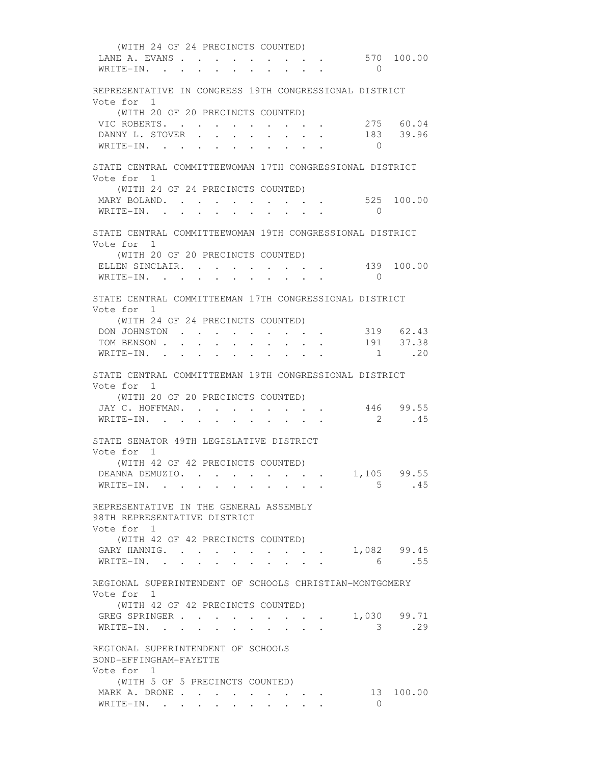(WITH 24 OF 24 PRECINCTS COUNTED) LANE A. EVANS . . . . . . . . . . 570 100.00 WRITE-IN. . . . . . . . . . . 0 REPRESENTATIVE IN CONGRESS 19TH CONGRESSIONAL DISTRICT Vote for 1 (WITH 20 OF 20 PRECINCTS COUNTED) VIC ROBERTS. . . . . . . . . . 275 60.04 DANNY L. STOVER . . . . . . . . 183 39.96 WRITE-IN. . . . . . . . . . 0 STATE CENTRAL COMMITTEEWOMAN 17TH CONGRESSIONAL DISTRICT Vote for 1 (WITH 24 OF 24 PRECINCTS COUNTED) MARY BOLAND. . . . . . . . . . 525 100.00 WRITE-IN. . . . . . . . . . . 0 STATE CENTRAL COMMITTEEWOMAN 19TH CONGRESSIONAL DISTRICT Vote for 1 (WITH 20 OF 20 PRECINCTS COUNTED) ELLEN SINCLAIR. . . . . . . . . 439 100.00 WRITE-IN. . . . . . . . . . . 0 STATE CENTRAL COMMITTEEMAN 17TH CONGRESSIONAL DISTRICT Vote for 1 (WITH 24 OF 24 PRECINCTS COUNTED) DON JOHNSTON . . . . . . . . . 319 62.43 TOM BENSON . . . . . . . . . . . 191 37.38 WRITE-IN. . . . . . . . . . . . 1 .20 STATE CENTRAL COMMITTEEMAN 19TH CONGRESSIONAL DISTRICT Vote for 1 (WITH 20 OF 20 PRECINCTS COUNTED) JAY C. HOFFMAN. . . . . . . . . 446 99.55 WRITE-IN. . . . . . . . . . . 2 .45 STATE SENATOR 49TH LEGISLATIVE DISTRICT Vote for 1 (WITH 42 OF 42 PRECINCTS COUNTED) DEANNA DEMUZIO. . . . . . . . . 1,105 99.55 WRITE-IN. . . . . . . . . . . . 5 .45 REPRESENTATIVE IN THE GENERAL ASSEMBLY 98TH REPRESENTATIVE DISTRICT Vote for 1 (WITH 42 OF 42 PRECINCTS COUNTED) GARY HANNIG. . . . . . . . . . 1,082 99.45 WRITE-IN. . . . . . . . . . . 6 .55 REGIONAL SUPERINTENDENT OF SCHOOLS CHRISTIAN-MONTGOMERY Vote for 1 (WITH 42 OF 42 PRECINCTS COUNTED) GREG SPRINGER . . . . . . . . . 1,030 99.71 WRITE-IN. . . . . . . . . . . 3 .29 REGIONAL SUPERINTENDENT OF SCHOOLS BOND-EFFINGHAM-FAYETTE Vote for 1 (WITH 5 OF 5 PRECINCTS COUNTED) MARK A. DRONE . . . . . . . . . . 13 100.00 WRITE-IN. . . . . . . . . .  $\qquad \qquad 0$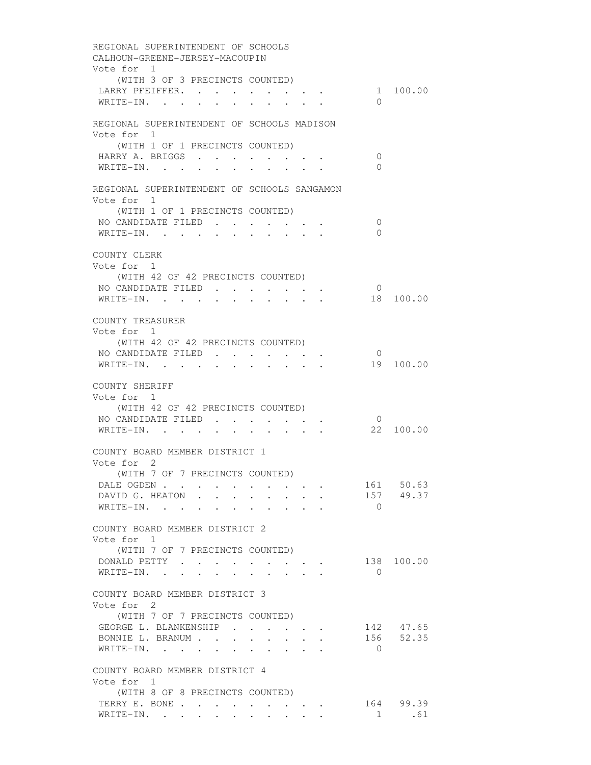REGIONAL SUPERINTENDENT OF SCHOOLS CALHOUN-GREENE-JERSEY-MACOUPIN Vote for 1 (WITH 3 OF 3 PRECINCTS COUNTED) LARRY PFEIFFER. . . . . . . . . . 1 100.00 WRITE-IN. . . . . . . . . . . 0 REGIONAL SUPERINTENDENT OF SCHOOLS MADISON Vote for 1 (WITH 1 OF 1 PRECINCTS COUNTED) HARRY A. BRIGGS . . . . . . . . 0 WRITE-IN. . . . . . . . . . . 0 REGIONAL SUPERINTENDENT OF SCHOOLS SANGAMON Vote for 1 (WITH 1 OF 1 PRECINCTS COUNTED) NO CANDIDATE FILED . . . . . . . 0 WRITE-IN. . . . . . . . . . . 0 COUNTY CLERK Vote for 1 (WITH 42 OF 42 PRECINCTS COUNTED) NO CANDIDATE FILED . . . . . . . 0<br>WRITE-IN. . . . . . . . . . . 18 100.00 WRITE-IN. . . . . . . . . . . COUNTY TREASURER Vote for 1 (WITH 42 OF 42 PRECINCTS COUNTED) NO CANDIDATE FILED . . . . . . . 0 WRITE-IN. . . . . . . . . . . 19 100.00 COUNTY SHERIFF Vote for 1 (WITH 42 OF 42 PRECINCTS COUNTED) NO CANDIDATE FILED . . . . . . . 0 WRITE-IN. . . . . . . . . . . 22 100.00 COUNTY BOARD MEMBER DISTRICT 1 Vote for 2 (WITH 7 OF 7 PRECINCTS COUNTED) DALE OGDEN . . . . . . . . . . 161 50.63<br>DAVID G. HEATON . . . . . . . . 157 49.37 DAVID G. HEATON . . . . . . . . WRITE-IN. . . . . . . . . . 0 COUNTY BOARD MEMBER DISTRICT 2 Vote for 1 (WITH 7 OF 7 PRECINCTS COUNTED) DONALD PETTY . . . . . . . . . 138 100.00 WRITE-IN. . . . . . . . . . . 0 COUNTY BOARD MEMBER DISTRICT 3 Vote for 2 (WITH 7 OF 7 PRECINCTS COUNTED) GEORGE L. BLANKENSHIP . . . . . . 142 47.65 BONNIE L. BRANUM . . . . . . . . . 156 52.35 WRITE-IN. . . . . . . . . . 0 COUNTY BOARD MEMBER DISTRICT 4 Vote for 1 (WITH 8 OF 8 PRECINCTS COUNTED) TERRY E. BONE . . . . . . . . . . 164 99.39 WRITE-IN. . . . . . . . . . . 1 .61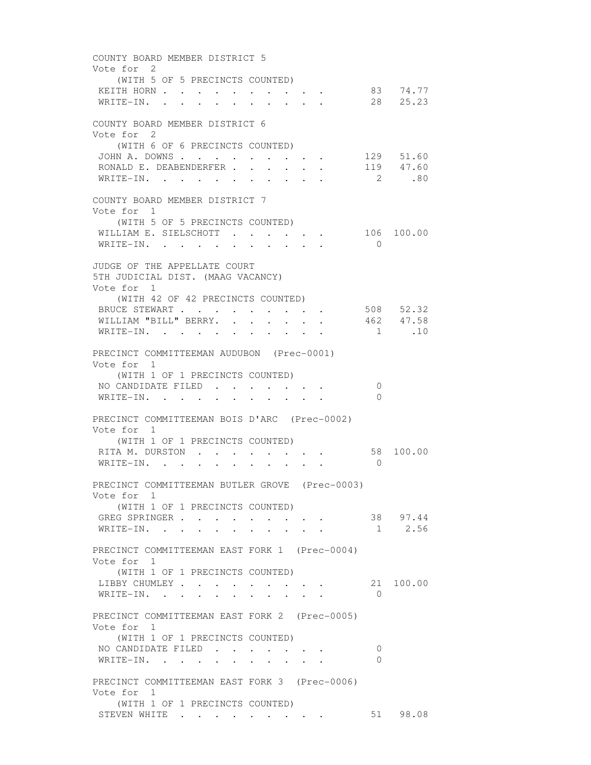COUNTY BOARD MEMBER DISTRICT 5 Vote for 2 (WITH 5 OF 5 PRECINCTS COUNTED) KEITH HORN . . . . . . . . . . 83 74.77 WRITE-IN. . . . . . . . . . . 28 25.23 COUNTY BOARD MEMBER DISTRICT 6 Vote for 2 (WITH 6 OF 6 PRECINCTS COUNTED) JOHN A. DOWNS . . . . . . . . . . . 129 51.60 RONALD E. DEABENDERFER . . . . . . 119 47.60 WRITE-IN. . . . . . . . . . . 2 .80 COUNTY BOARD MEMBER DISTRICT 7 Vote for 1 (WITH 5 OF 5 PRECINCTS COUNTED) WILLIAM E. SIELSCHOTT . . . . . 106 100.00 WRITE-IN. . . . . . . . . . 0 JUDGE OF THE APPELLATE COURT 5TH JUDICIAL DIST. (MAAG VACANCY) Vote for 1 (WITH 42 OF 42 PRECINCTS COUNTED) BRUCE STEWART . . . . . . . . . 508 52.32 WILLIAM "BILL" BERRY. . . . . . . 462 47.58 WRITE-IN. . . . . . . . . . . 1 .10 PRECINCT COMMITTEEMAN AUDUBON (Prec-0001) Vote for 1 (WITH 1 OF 1 PRECINCTS COUNTED) NO CANDIDATE FILED . . . . . . . 0 WRITE-IN. . . . . . . . . . 0 PRECINCT COMMITTEEMAN BOIS D'ARC (Prec-0002) Vote for 1 (WITH 1 OF 1 PRECINCTS COUNTED) RITA M. DURSTON . . . . . . . . . 58 100.00 WRITE-IN. . . . . . . . . . . 0 PRECINCT COMMITTEEMAN BUTLER GROVE (Prec-0003) Vote for 1 (WITH 1 OF 1 PRECINCTS COUNTED) GREG SPRINGER . . . . . . . . . . 38 97.44 WRITE-IN. . . . . . . . . . . 1 2.56 PRECINCT COMMITTEEMAN EAST FORK 1 (Prec-0004) Vote for 1 (WITH 1 OF 1 PRECINCTS COUNTED) LIBBY CHUMLEY . . . . . . . . . 21 100.00 WRITE-IN. . . . . . . . . . . 0 PRECINCT COMMITTEEMAN EAST FORK 2 (Prec-0005) Vote for 1 (WITH 1 OF 1 PRECINCTS COUNTED) NO CANDIDATE FILED . . . . . . . 0 WRITE-IN. . . . . . . . . . 0 PRECINCT COMMITTEEMAN EAST FORK 3 (Prec-0006) Vote for 1 (WITH 1 OF 1 PRECINCTS COUNTED) STEVEN WHITE . . . . . . . . . . 51 98.08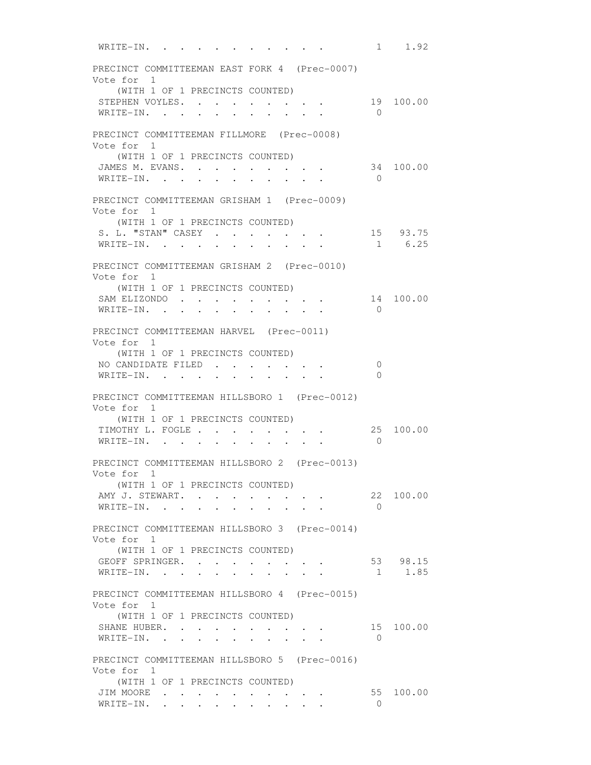WRITE-IN. . . . . . . . . . . 1 1.92 PRECINCT COMMITTEEMAN EAST FORK 4 (Prec-0007) Vote for 1 (WITH 1 OF 1 PRECINCTS COUNTED) STEPHEN VOYLES. . . . . . . . . 19 100.00 WRITE-IN. . . . . . . . . . . 0 PRECINCT COMMITTEEMAN FILLMORE (Prec-0008) Vote for 1 (WITH 1 OF 1 PRECINCTS COUNTED) JAMES M. EVANS. . . . . . . . . 34 100.00 WRITE-IN. . . . . . . . . . . 0 PRECINCT COMMITTEEMAN GRISHAM 1 (Prec-0009) Vote for 1 (WITH 1 OF 1 PRECINCTS COUNTED) S. L. "STAN" CASEY . . . . . . . 15 93.75 WRITE-IN. . . . . . . . . . . 1 6.25 PRECINCT COMMITTEEMAN GRISHAM 2 (Prec-0010) Vote for 1 (WITH 1 OF 1 PRECINCTS COUNTED) SAM ELIZONDO . . . . . . . . . 14 100.00 WRITE-IN. . . . . . . . . . . 0 PRECINCT COMMITTEEMAN HARVEL (Prec-0011) Vote for 1 (WITH 1 OF 1 PRECINCTS COUNTED) NO CANDIDATE FILED . . . . . . . 0 WRITE-IN. . . . . . . . . . . 0 PRECINCT COMMITTEEMAN HILLSBORO 1 (Prec-0012) Vote for 1 (WITH 1 OF 1 PRECINCTS COUNTED) TIMOTHY L. FOGLE . . . . . . . . 25 100.00 WRITE-IN. . . . . . . . . . . 0 PRECINCT COMMITTEEMAN HILLSBORO 2 (Prec-0013) Vote for 1 (WITH 1 OF 1 PRECINCTS COUNTED) AMY J. STEWART. . . . . . . . . 22 100.00 WRITE-IN. . . . . . . . . . . 0 PRECINCT COMMITTEEMAN HILLSBORO 3 (Prec-0014) Vote for 1 (WITH 1 OF 1 PRECINCTS COUNTED) GEOFF SPRINGER. . . . . . . . . 53 98.15 WRITE-IN. . . . . . . . . . . 1 1.85 PRECINCT COMMITTEEMAN HILLSBORO 4 (Prec-0015) Vote for 1 (WITH 1 OF 1 PRECINCTS COUNTED) SHANE HUBER. . . . . . . . . . 15 100.00 WRITE-IN. . . . . . . . . . . 0 PRECINCT COMMITTEEMAN HILLSBORO 5 (Prec-0016) Vote for 1 (WITH 1 OF 1 PRECINCTS COUNTED) JIM MOORE . . . . . . . . . . . . 55 100.00 WRITE-IN. . . . . . . . . . . 0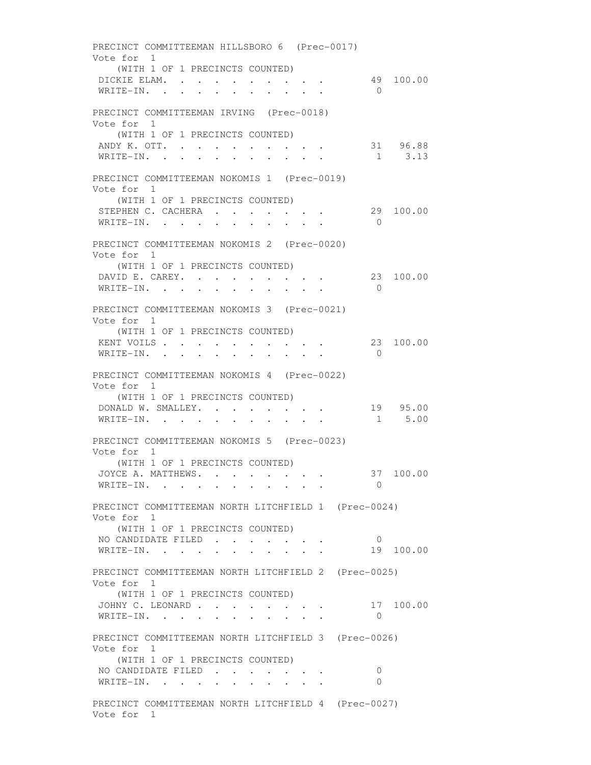PRECINCT COMMITTEEMAN HILLSBORO 6 (Prec-0017) Vote for 1 (WITH 1 OF 1 PRECINCTS COUNTED) DICKIE ELAM. . . . . . . . . . 49 100.00 WRITE-IN. . . . . . . . . . . 0 PRECINCT COMMITTEEMAN IRVING (Prec-0018) Vote for 1 (WITH 1 OF 1 PRECINCTS COUNTED) ANDY K. OTT. . . . . . . . . . . . 31 96.88<br>WRITE-IN. . . . . . . . . . . . 1 3.13 WRITE-IN. . . . . . . . . . . PRECINCT COMMITTEEMAN NOKOMIS 1 (Prec-0019) Vote for 1 (WITH 1 OF 1 PRECINCTS COUNTED) STEPHEN C. CACHERA . . . . . . . 29 100.00 WRITE-IN. . . . . . . . . . 0 PRECINCT COMMITTEEMAN NOKOMIS 2 (Prec-0020) Vote for 1 (WITH 1 OF 1 PRECINCTS COUNTED) DAVID E. CAREY. . . . . . . . . 23 100.00 WRITE-IN. . . . . . . . . . . 0 PRECINCT COMMITTEEMAN NOKOMIS 3 (Prec-0021) Vote for 1 (WITH 1 OF 1 PRECINCTS COUNTED) KENT VOILS . . . . . . . . . . . 23 100.00 WRITE-IN. . . . . . . . . . . 0 PRECINCT COMMITTEEMAN NOKOMIS 4 (Prec-0022) Vote for 1 (WITH 1 OF 1 PRECINCTS COUNTED) DONALD W. SMALLEY. . . . . . . . 19 95.00 WRITE-IN. . . . . . . . . . . 1 5.00 PRECINCT COMMITTEEMAN NOKOMIS 5 (Prec-0023) Vote for 1 (WITH 1 OF 1 PRECINCTS COUNTED) JOYCE A. MATTHEWS. . . . . . . . 37 100.00 WRITE-IN. . . . . . . . . . . 0 PRECINCT COMMITTEEMAN NORTH LITCHFIELD 1 (Prec-0024) Vote for 1 (WITH 1 OF 1 PRECINCTS COUNTED) NO CANDIDATE FILED . . . . . . . 0 WRITE-IN. . . . . . . . . . . 19 100.00 PRECINCT COMMITTEEMAN NORTH LITCHFIELD 2 (Prec-0025) Vote for 1 (WITH 1 OF 1 PRECINCTS COUNTED) JOHNY C. LEONARD . . . . . . . . 17 100.00 WRITE-IN. . . . . . . . . . 0 PRECINCT COMMITTEEMAN NORTH LITCHFIELD 3 (Prec-0026) Vote for 1 (WITH 1 OF 1 PRECINCTS COUNTED) NO CANDIDATE FILED . . . . . . . 0 WRITE-IN. . . . . . . . . . . 0 PRECINCT COMMITTEEMAN NORTH LITCHFIELD 4 (Prec-0027) Vote for 1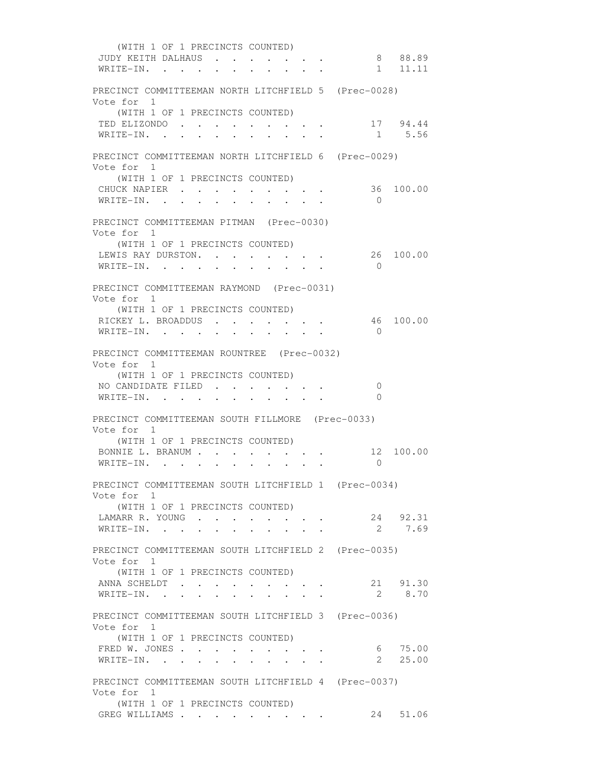(WITH 1 OF 1 PRECINCTS COUNTED) JUDY KEITH DALHAUS . . . . . . . 8 88.89 WRITE-IN. . . . . . . . . . . 1 11.11 PRECINCT COMMITTEEMAN NORTH LITCHFIELD 5 (Prec-0028) Vote for 1 (WITH 1 OF 1 PRECINCTS COUNTED) TED ELIZONDO . . . . . . . . . . 17 94.44 WRITE-IN. . . . . . . . . . . 1 5.56 PRECINCT COMMITTEEMAN NORTH LITCHFIELD 6 (Prec-0029) Vote for 1 (WITH 1 OF 1 PRECINCTS COUNTED) CHUCK NAPIER . . . . . . . . . 36 100.00 WRITE-IN. . . . . . . . . . . 0 PRECINCT COMMITTEEMAN PITMAN (Prec-0030) Vote for 1 (WITH 1 OF 1 PRECINCTS COUNTED) LEWIS RAY DURSTON. . . . . . . . 26 100.00 WRITE-IN. . . . . . . . . . . 0 PRECINCT COMMITTEEMAN RAYMOND (Prec-0031) Vote for 1 (WITH 1 OF 1 PRECINCTS COUNTED) RICKEY L. BROADDUS . . . . . . . 46 100.00 WRITE-IN. . . . . . . . . . . 0 PRECINCT COMMITTEEMAN ROUNTREE (Prec-0032) Vote for 1 (WITH 1 OF 1 PRECINCTS COUNTED) NO CANDIDATE FILED . . . . . . . 0 WRITE-IN. . . . . . . . . . 0 PRECINCT COMMITTEEMAN SOUTH FILLMORE (Prec-0033) Vote for 1 (WITH 1 OF 1 PRECINCTS COUNTED) BONNIE L. BRANUM . . . . . . . . 12 100.00 WRITE-IN. . . . . . . . . . 0 PRECINCT COMMITTEEMAN SOUTH LITCHFIELD 1 (Prec-0034) Vote for 1 (WITH 1 OF 1 PRECINCTS COUNTED) LAMARR R. YOUNG . . . . . . . . . 24 92.31 WRITE-IN. . . . . . . . . . . 2 7.69 PRECINCT COMMITTEEMAN SOUTH LITCHFIELD 2 (Prec-0035) Vote for 1 (WITH 1 OF 1 PRECINCTS COUNTED) ANNA SCHELDT . . . . . . . . 21 91.30 WRITE-IN. . . . . . . . . . . 2 8.70 PRECINCT COMMITTEEMAN SOUTH LITCHFIELD 3 (Prec-0036) Vote for 1 (WITH 1 OF 1 PRECINCTS COUNTED) FRED W. JONES . . . . . . . . . . 6 75.00 WRITE-IN. . . . . . . . . . . 2 25.00 PRECINCT COMMITTEEMAN SOUTH LITCHFIELD 4 (Prec-0037) Vote for 1 (WITH 1 OF 1 PRECINCTS COUNTED) GREG WILLIAMS . . . . . . . . . 24 51.06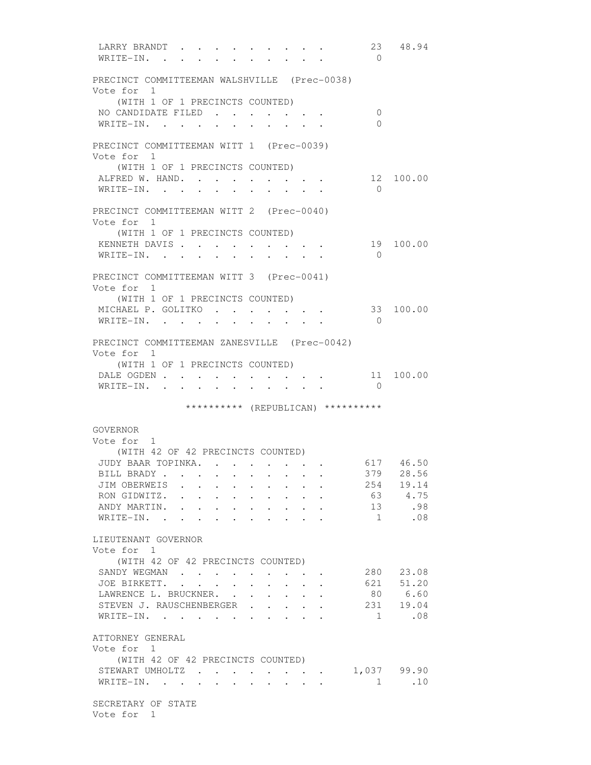LARRY BRANDT . . . . . . . . . 23 48.94 WRITE-IN. . . . . . . . . .  $\qquad \qquad 0$  PRECINCT COMMITTEEMAN WALSHVILLE (Prec-0038) Vote for 1 (WITH 1 OF 1 PRECINCTS COUNTED) NO CANDIDATE FILED . . . . . . . 0 WRITE-IN. . . . . . . . . . . 0 PRECINCT COMMITTEEMAN WITT 1 (Prec-0039) Vote for 1 (WITH 1 OF 1 PRECINCTS COUNTED) ALFRED W. HAND. . . . . . . . . 12 100.00 WRITE-IN. . . . . . . . . . . 0 PRECINCT COMMITTEEMAN WITT 2 (Prec-0040) Vote for 1 (WITH 1 OF 1 PRECINCTS COUNTED) KENNETH DAVIS . . . . . . . . . . 19 100.00 WRITE-IN. . . . . . . . . . . 0 PRECINCT COMMITTEEMAN WITT 3 (Prec-0041) Vote for 1 (WITH 1 OF 1 PRECINCTS COUNTED) MICHAEL P. GOLITKO . . . . . . . . 33 100.00<br>WRITE-IN WRITE-IN. . . . . . . . . .  $0$  PRECINCT COMMITTEEMAN ZANESVILLE (Prec-0042) Vote for 1 (WITH 1 OF 1 PRECINCTS COUNTED) DALE OGDEN . . . . . . . . . . 11 100.00 WRITE-IN. . . . . . . . . . . 0 \*\*\*\*\*\*\*\*\*\* (REPUBLICAN) \*\*\*\*\*\*\*\*\*\* GOVERNOR Vote for 1 (WITH 42 OF 42 PRECINCTS COUNTED) JUDY BAAR TOPINKA. . . . . . . . . 617 46.50<br>BILL BRADY . . . . . . . . . . . 379 28.56 BILL BRADY . . . . . . . . . . . 379 28.56<br>JIM OBERWEIS . . . . . . . . 254 19.14 JIM OBERWEIS . . . . . . . . . RON GIDWITZ. . . . . . . . . . . 63 4.75<br>ANDY MARTIN. . . . . . . . . . 13 .98 ANDY MARTIN. . . . . . . . . . . 13 . 98 WRITE-IN. . . . . . . . . . . 1 .08 LIEUTENANT GOVERNOR Vote for 1 (WITH 42 OF 42 PRECINCTS COUNTED) SANDY WEGMAN . . . . . . . . . 280 23.08 JOE BIRKETT. . . . . . . . . . 621 51.20 LAWRENCE L. BRUCKNER. . . . . . . 80 6.60 STEVEN J. RAUSCHENBERGER . . . . 231 19.04 WRITE-IN. . . . . . . . . . . 1 .08 ATTORNEY GENERAL Vote for 1 (WITH 42 OF 42 PRECINCTS COUNTED) STEWART UMHOLTZ . . . . . . . . 1,037 99.90 WRITE-IN. . . . . . . . . . . . 1 .10 SECRETARY OF STATE Vote for 1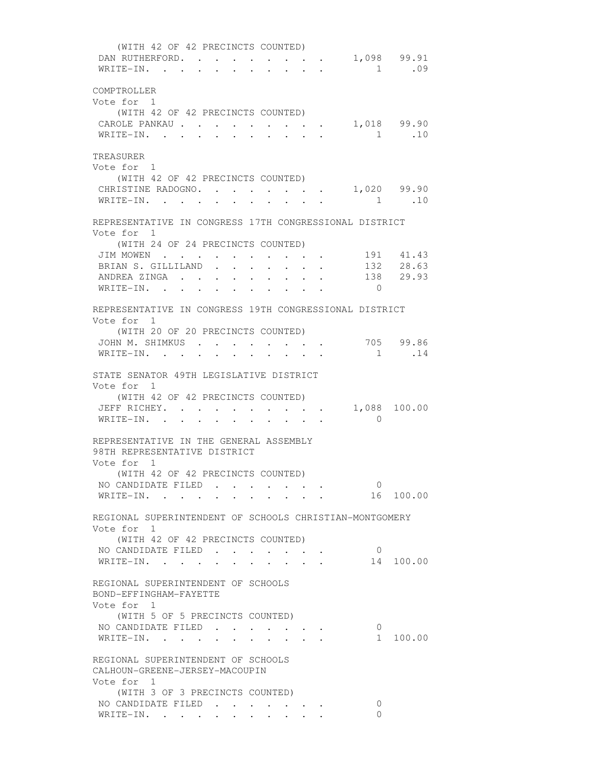| (WITH 42 OF 42 PRECINCTS COUNTED)                       |                                              |                           |                                                   |                |             |
|---------------------------------------------------------|----------------------------------------------|---------------------------|---------------------------------------------------|----------------|-------------|
| DAN RUTHERFORD.                                         |                                              |                           |                                                   |                | 1,098 99.91 |
| WRITE-IN.                                               |                                              |                           | $\mathbf{r}$<br>$\mathbf{L}$                      |                | 1 .09       |
|                                                         |                                              |                           |                                                   |                |             |
| COMPTROLLER                                             |                                              |                           |                                                   |                |             |
| Vote for 1                                              |                                              |                           |                                                   |                |             |
| (WITH 42 OF 42 PRECINCTS COUNTED)                       |                                              |                           |                                                   |                |             |
| CAROLE PANKAU 1,018 99.90                               |                                              |                           |                                                   |                |             |
| WRITE-IN.                                               |                                              |                           |                                                   |                | 1.10        |
|                                                         |                                              |                           |                                                   |                |             |
| TREASURER                                               |                                              |                           |                                                   |                |             |
| Vote for 1                                              |                                              |                           |                                                   |                |             |
| (WITH 42 OF 42 PRECINCTS COUNTED)                       |                                              |                           |                                                   |                |             |
| CHRISTINE RADOGNO. 1,020 99.90                          |                                              |                           |                                                   |                |             |
| WRITE-IN.                                               |                                              |                           |                                                   | 1.10           |             |
|                                                         |                                              |                           |                                                   |                |             |
| REPRESENTATIVE IN CONGRESS 17TH CONGRESSIONAL DISTRICT  |                                              |                           |                                                   |                |             |
| Vote for 1                                              |                                              |                           |                                                   |                |             |
| (WITH 24 OF 24 PRECINCTS COUNTED)                       |                                              |                           |                                                   |                |             |
| JIM MOWEN                                               |                                              |                           | $\sim$                                            |                | 191 41.43   |
| BRIAN S. GILLILAND.                                     | $\mathbf{L} = \mathbf{L}$                    | $\mathbf{r}$ $\mathbf{r}$ | $\sim$<br>$\mathbf{r}$                            |                | 132 28.63   |
| ANDREA ZINGA 138 29.93                                  |                                              |                           |                                                   |                |             |
| WRITE-IN.                                               |                                              |                           |                                                   | $\overline{0}$ |             |
|                                                         |                                              |                           |                                                   |                |             |
| REPRESENTATIVE IN CONGRESS 19TH CONGRESSIONAL DISTRICT  |                                              |                           |                                                   |                |             |
| Vote for 1                                              |                                              |                           |                                                   |                |             |
| (WITH 20 OF 20 PRECINCTS COUNTED)                       |                                              |                           |                                                   |                |             |
| JOHN M. SHIMKUS                                         | $\sim$ $\sim$ $\sim$                         |                           | $\cdot$ $\cdot$ $\cdot$ $\cdot$ $\cdot$ $\cdot$   |                | 705 99.86   |
| WRITE-IN.                                               | $\ddot{\phantom{0}}$<br>$\ddot{\phantom{a}}$ |                           |                                                   | 1              | .14         |
|                                                         |                                              |                           |                                                   |                |             |
| STATE SENATOR 49TH LEGISLATIVE DISTRICT                 |                                              |                           |                                                   |                |             |
| Vote for 1                                              |                                              |                           |                                                   |                |             |
| (WITH 42 OF 42 PRECINCTS COUNTED)                       |                                              |                           |                                                   |                |             |
| JEFF RICHEY. 1,088 100.00                               |                                              |                           |                                                   |                |             |
| WRITE-IN.                                               |                                              |                           |                                                   | $\overline{0}$ |             |
|                                                         |                                              |                           |                                                   |                |             |
| REPRESENTATIVE IN THE GENERAL ASSEMBLY                  |                                              |                           |                                                   |                |             |
| 98TH REPRESENTATIVE DISTRICT                            |                                              |                           |                                                   |                |             |
| Vote for 1                                              |                                              |                           |                                                   |                |             |
| (WITH 42 OF 42 PRECINCTS COUNTED)                       |                                              |                           |                                                   |                |             |
| NO CANDIDATE FILED                                      |                                              |                           |                                                   | $\overline{0}$ |             |
| WRITE-IN. 16 100.00                                     |                                              |                           |                                                   |                |             |
|                                                         |                                              |                           |                                                   |                |             |
| REGIONAL SUPERINTENDENT OF SCHOOLS CHRISTIAN-MONTGOMERY |                                              |                           |                                                   |                |             |
| Vote for 1                                              |                                              |                           |                                                   |                |             |
| (WITH 42 OF 42 PRECINCTS COUNTED)                       |                                              |                           |                                                   |                |             |
| NO CANDIDATE FILED                                      |                                              |                           |                                                   | $\overline{0}$ |             |
| WRITE-IN.                                               | $\sim$                                       | $\mathbf{L}$              | $\sim$                                            |                | 14 100.00   |
|                                                         |                                              |                           |                                                   |                |             |
| REGIONAL SUPERINTENDENT OF SCHOOLS                      |                                              |                           |                                                   |                |             |
| BOND-EFFINGHAM-FAYETTE                                  |                                              |                           |                                                   |                |             |
| Vote for 1                                              |                                              |                           |                                                   |                |             |
| (WITH 5 OF 5 PRECINCTS COUNTED)                         |                                              |                           |                                                   |                |             |
| NO CANDIDATE FILED                                      |                                              |                           | $\bullet$ . In the case of the case of the $\sim$ | $\overline{0}$ |             |
| WRITE-IN.                                               | $\ddot{\phantom{0}}$                         |                           |                                                   |                | 1 100.00    |
|                                                         |                                              |                           |                                                   |                |             |
| REGIONAL SUPERINTENDENT OF SCHOOLS                      |                                              |                           |                                                   |                |             |
| CALHOUN-GREENE-JERSEY-MACOUPIN                          |                                              |                           |                                                   |                |             |
| Vote for 1                                              |                                              |                           |                                                   |                |             |
| (WITH 3 OF 3 PRECINCTS COUNTED)                         |                                              |                           |                                                   |                |             |
| NO CANDIDATE FILED                                      |                                              |                           |                                                   | 0              |             |
| WRITE-IN.                                               |                                              |                           |                                                   | 0              |             |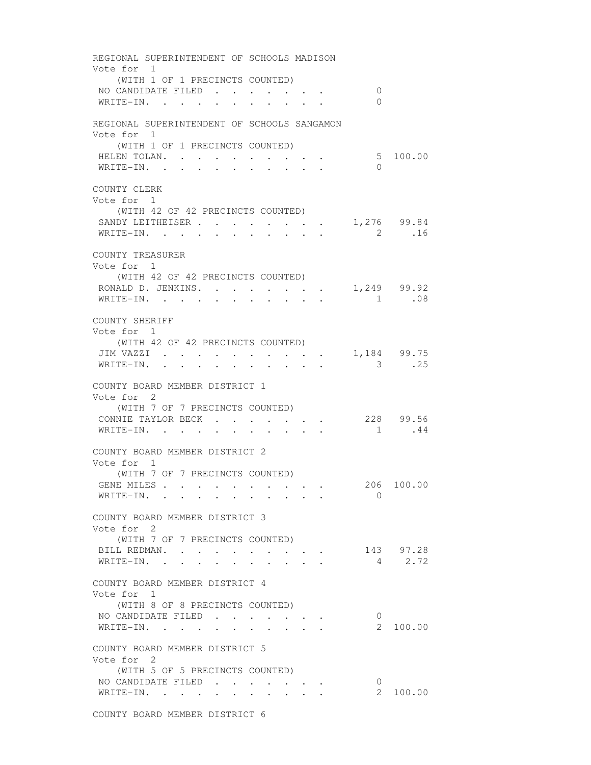REGIONAL SUPERINTENDENT OF SCHOOLS MADISON Vote for 1 (WITH 1 OF 1 PRECINCTS COUNTED) NO CANDIDATE FILED . . . . . . . 0 WRITE-IN. . . . . . . . . . . 0 REGIONAL SUPERINTENDENT OF SCHOOLS SANGAMON Vote for 1 (WITH 1 OF 1 PRECINCTS COUNTED) HELEN TOLAN. . . . . . . . . . . . 5 100.00 WRITE-IN. . . . . . . . . . 0 COUNTY CLERK Vote for 1 (WITH 42 OF 42 PRECINCTS COUNTED) SANDY LEITHEISER . . . . . . . . 1,276 99.84 WRITE-IN. . . . . . . . . . . 2 .16 COUNTY TREASURER Vote for 1 (WITH 42 OF 42 PRECINCTS COUNTED) RONALD D. JENKINS. . . . . . . . 1,249 99.92 WRITE-IN. . . . . . . . . . . 1 .08 COUNTY SHERIFF Vote for 1 (WITH 42 OF 42 PRECINCTS COUNTED) JIM VAZZI . . . . . . . . . . 1,184 99.75 WRITE-IN. . . . . . . . . . . . 3 .25 COUNTY BOARD MEMBER DISTRICT 1 Vote for 2 (WITH 7 OF 7 PRECINCTS COUNTED) CONNIE TAYLOR BECK . . . . . . 228 99.56 WRITE-IN. . . . . . . . . . . 1 .44 COUNTY BOARD MEMBER DISTRICT 2 Vote for 1 (WITH 7 OF 7 PRECINCTS COUNTED) GENE MILES . . . . . . . . . . 206 100.00 WRITE-IN. . . . . . . . . . 0 COUNTY BOARD MEMBER DISTRICT 3 Vote for 2 (WITH 7 OF 7 PRECINCTS COUNTED) BILL REDMAN. . . . . . . . . . 143 97.28 WRITE-IN. . . . . . . . . . . 4 2.72 COUNTY BOARD MEMBER DISTRICT 4 Vote for 1 (WITH 8 OF 8 PRECINCTS COUNTED) NO CANDIDATE FILED . . . . . . . 0<br>
WRITE-IN. . . . . . . . . . . 2 100.00 WRITE-IN. . . . . . . . . . . COUNTY BOARD MEMBER DISTRICT 5 Vote for 2 (WITH 5 OF 5 PRECINCTS COUNTED) NO CANDIDATE FILED . . . . . . . 0<br>
WRITE-IN. . . . . . . . . . . 2 100.00 WRITE-IN. . . . . . . . . . .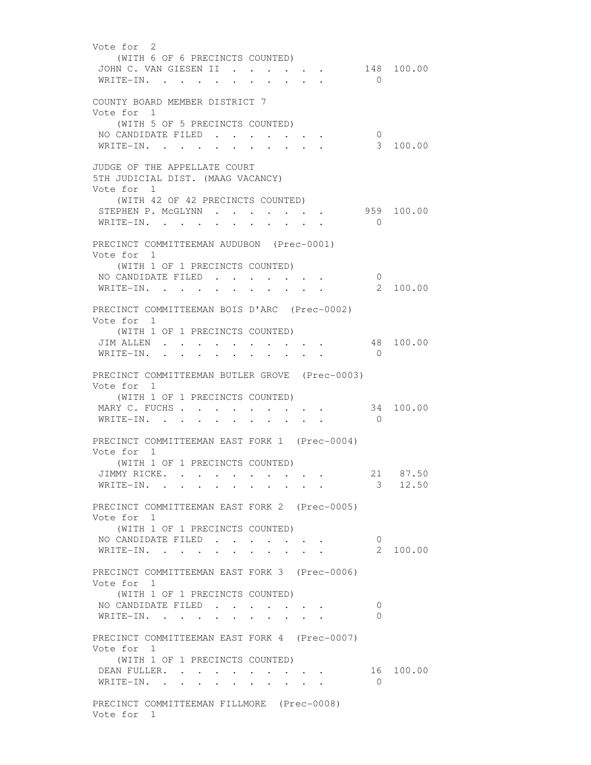Vote for 2 (WITH 6 OF 6 PRECINCTS COUNTED) JOHN C. VAN GIESEN II . . . . . . 148 100.00 WRITE-IN. . . . . . . . . . 0 COUNTY BOARD MEMBER DISTRICT 7 Vote for 1 (WITH 5 OF 5 PRECINCTS COUNTED) NO CANDIDATE FILED . . . . . . . 0<br>WRITE-IN. . . . . . . . . . . . 3 100.00 WRITE-IN. . . . . . . . . . . JUDGE OF THE APPELLATE COURT 5TH JUDICIAL DIST. (MAAG VACANCY) Vote for 1 (WITH 42 OF 42 PRECINCTS COUNTED) STEPHEN P. MCGLYNN . . . . . . . 959 100.00 WRITE-IN. . . . . . . . . . . 0 PRECINCT COMMITTEEMAN AUDUBON (Prec-0001) Vote for 1 (WITH 1 OF 1 PRECINCTS COUNTED) NO CANDIDATE FILED . . . . . . . 0<br>WRITE-IN. . . . . . . . . . . 2 100.00  $\texttt{WRITE-IN.}$  . . . . . . . . . PRECINCT COMMITTEEMAN BOIS D'ARC (Prec-0002) Vote for 1 (WITH 1 OF 1 PRECINCTS COUNTED) JIM ALLEN . . . . . . . . . . . 48 100.00 WRITE-IN. . . . . . . . . . 0 PRECINCT COMMITTEEMAN BUTLER GROVE (Prec-0003) Vote for 1 (WITH 1 OF 1 PRECINCTS COUNTED) MARY C. FUCHS . . . . . . . . . . 34 100.00 WRITE-IN. . . . . . . . . . 0 PRECINCT COMMITTEEMAN EAST FORK 1 (Prec-0004) Vote for 1 (WITH 1 OF 1 PRECINCTS COUNTED) JIMMY RICKE. . . . . . . . . . 21 87.50 WRITE-IN. . . . . . . . . . . 3 12.50 PRECINCT COMMITTEEMAN EAST FORK 2 (Prec-0005) Vote for 1 (WITH 1 OF 1 PRECINCTS COUNTED) NO CANDIDATE FILED . . . . . . . 0<br>WRITE-IN. . . . . . . . . . . 2 100.00 WRITE-IN. . . . . . . . . . . PRECINCT COMMITTEEMAN EAST FORK 3 (Prec-0006) Vote for 1 (WITH 1 OF 1 PRECINCTS COUNTED) NO CANDIDATE FILED . . . . . . . 0 WRITE-IN. . . . . . . . . . . 0 PRECINCT COMMITTEEMAN EAST FORK 4 (Prec-0007) Vote for 1 (WITH 1 OF 1 PRECINCTS COUNTED) DEAN FULLER. . . . . . . . . . 16 100.00 WRITE-IN. . . . . . . . . . 0 PRECINCT COMMITTEEMAN FILLMORE (Prec-0008) Vote for 1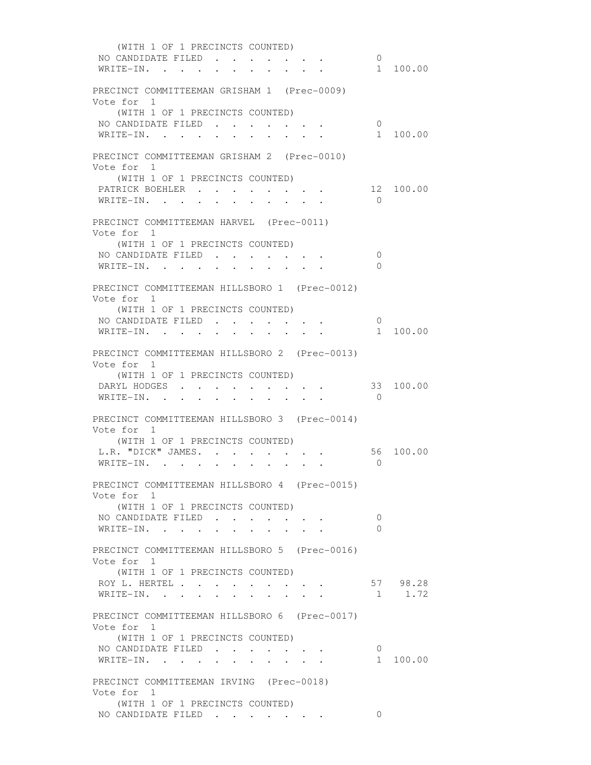(WITH 1 OF 1 PRECINCTS COUNTED) NO CANDIDATE FILED . . . . . . . 0<br>WRITE-IN. . . . . . . . . . . . 1 100.00 WRITE-IN. . . . . . . . . . . PRECINCT COMMITTEEMAN GRISHAM 1 (Prec-0009) Vote for 1 (WITH 1 OF 1 PRECINCTS COUNTED) NO CANDIDATE FILED . . . . . . . 0<br>WRITE-IN. . . . . . . . . . . 1 100.00  $\texttt{WRITE-IN.}$  . . . . . . . . . PRECINCT COMMITTEEMAN GRISHAM 2 (Prec-0010) Vote for 1 (WITH 1 OF 1 PRECINCTS COUNTED) PATRICK BOEHLER . . . . . . . . 12 100.00 WRITE-IN. . . . . . . . . . . 0 PRECINCT COMMITTEEMAN HARVEL (Prec-0011) Vote for 1 (WITH 1 OF 1 PRECINCTS COUNTED) NO CANDIDATE FILED . . . . . . . 0 WRITE-IN. . . . . . . . . . . 0 PRECINCT COMMITTEEMAN HILLSBORO 1 (Prec-0012) Vote for 1 (WITH 1 OF 1 PRECINCTS COUNTED) NO CANDIDATE FILED . . . . . . . 0 WRITE-IN. . . . . . . . . . . . . . . . 1 100.00 PRECINCT COMMITTEEMAN HILLSBORO 2 (Prec-0013) Vote for 1 (WITH 1 OF 1 PRECINCTS COUNTED) DARYL HODGES . . . . . . . . . 33 100.00 WRITE-IN. . . . . . . . . . . 0 PRECINCT COMMITTEEMAN HILLSBORO 3 (Prec-0014) Vote for 1 (WITH 1 OF 1 PRECINCTS COUNTED) L.R. "DICK" JAMES. . . . . . . . 56 100.00 WRITE-IN. . . . . . . . . . . 0 PRECINCT COMMITTEEMAN HILLSBORO 4 (Prec-0015) Vote for 1 (WITH 1 OF 1 PRECINCTS COUNTED) NO CANDIDATE FILED . . . . . . . 0 WRITE-IN. . . . . . . . . . 0 PRECINCT COMMITTEEMAN HILLSBORO 5 (Prec-0016) Vote for 1 (WITH 1 OF 1 PRECINCTS COUNTED) ROY L. HERTEL . . . . . . . . . . 57 98.28<br>WRITE-IN. . . . . . . . . . . . 1 1.72 WRITE-IN. . . . . . . . . . . PRECINCT COMMITTEEMAN HILLSBORO 6 (Prec-0017) Vote for 1 (WITH 1 OF 1 PRECINCTS COUNTED) NO CANDIDATE FILED . . . . . . . 0<br>WRITE-IN. . . . . . . . . . . . 1 100.00 WRITE-IN. . . . . . . . . . . PRECINCT COMMITTEEMAN IRVING (Prec-0018) Vote for 1 (WITH 1 OF 1 PRECINCTS COUNTED) NO CANDIDATE FILED . . . . . . . 0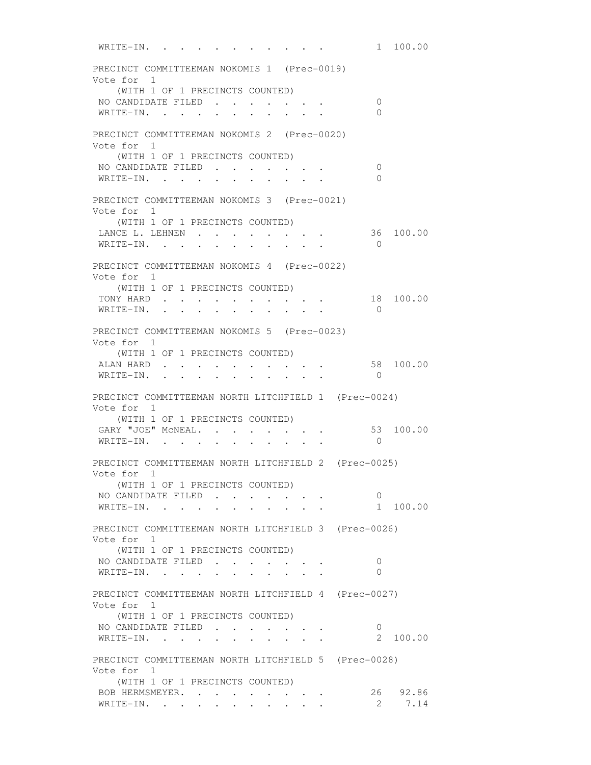WRITE-IN. . . . . . . . . . . 1 100.00 PRECINCT COMMITTEEMAN NOKOMIS 1 (Prec-0019) Vote for 1 (WITH 1 OF 1 PRECINCTS COUNTED) NO CANDIDATE FILED . . . . . . . 0 WRITE-IN. . . . . . . . . . 0 PRECINCT COMMITTEEMAN NOKOMIS 2 (Prec-0020) Vote for 1 (WITH 1 OF 1 PRECINCTS COUNTED) NO CANDIDATE FILED . . . . . . . 0 WRITE-IN. . . . . . . . . . 0 PRECINCT COMMITTEEMAN NOKOMIS 3 (Prec-0021) Vote for 1 (WITH 1 OF 1 PRECINCTS COUNTED) LANCE L. LEHNEN . . . . . . . . 36 100.00 WRITE-IN. . . . . . . . . . . 0 PRECINCT COMMITTEEMAN NOKOMIS 4 (Prec-0022) Vote for 1 (WITH 1 OF 1 PRECINCTS COUNTED) TONY HARD . . . . . . . . . . 18 100.00 WRITE-IN. . . . . . . . . . 0 PRECINCT COMMITTEEMAN NOKOMIS 5 (Prec-0023) Vote for 1 (WITH 1 OF 1 PRECINCTS COUNTED) ALAN HARD . . . . . . . . . . . 58 100.00 WRITE-IN. . . . . . . . . . 0 PRECINCT COMMITTEEMAN NORTH LITCHFIELD 1 (Prec-0024) Vote for 1 (WITH 1 OF 1 PRECINCTS COUNTED) GARY "JOE" MCNEAL. . . . . . . . 53 100.00 WRITE-IN. . . . . . . . . . 0 PRECINCT COMMITTEEMAN NORTH LITCHFIELD 2 (Prec-0025) Vote for 1 (WITH 1 OF 1 PRECINCTS COUNTED) NO CANDIDATE FILED . . . . . . . 0 WRITE-IN. . . . . . . . . . . 1 100.00 PRECINCT COMMITTEEMAN NORTH LITCHFIELD 3 (Prec-0026) Vote for 1 (WITH 1 OF 1 PRECINCTS COUNTED) NO CANDIDATE FILED . . . . . . . 0 WRITE-IN. . . . . . . . . . . 0 PRECINCT COMMITTEEMAN NORTH LITCHFIELD 4 (Prec-0027) Vote for 1 (WITH 1 OF 1 PRECINCTS COUNTED) NO CANDIDATE FILED . . . . . . . 0 WRITE-IN. . . . . . . . . . . . 2 100.00 PRECINCT COMMITTEEMAN NORTH LITCHFIELD 5 (Prec-0028) Vote for 1 (WITH 1 OF 1 PRECINCTS COUNTED) ROB HERMSMEYER. . . . . . . . . 26 92.86 WRITE-IN. . . . . . . . . . . 2 7.14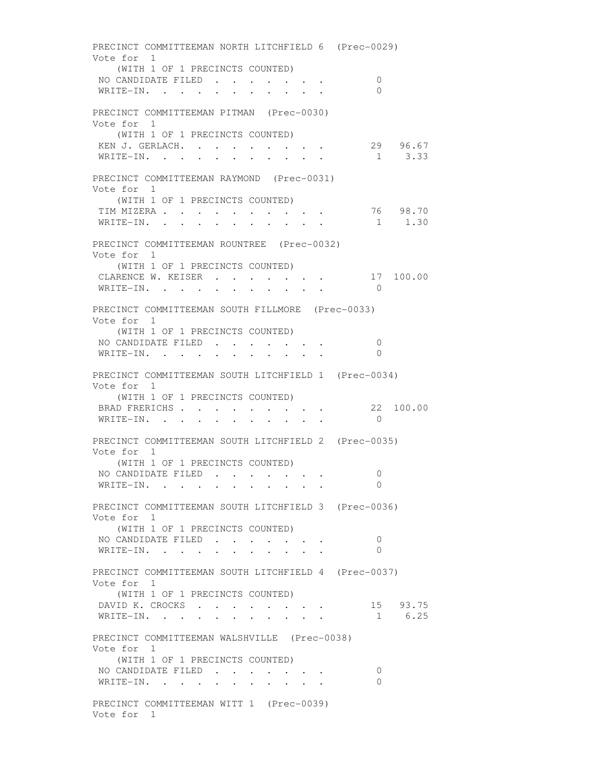PRECINCT COMMITTEEMAN NORTH LITCHFIELD 6 (Prec-0029) Vote for 1 (WITH 1 OF 1 PRECINCTS COUNTED) NO CANDIDATE FILED . . . . . . . 0 WRITE-IN. . . . . . . . . . . 0 PRECINCT COMMITTEEMAN PITMAN (Prec-0030) Vote for 1 (WITH 1 OF 1 PRECINCTS COUNTED) KEN J. GERLACH. . . . . . . . . . 29 96.67<br>WRITE-IN. . . . . . . . . . . 1 3.33 WRITE-IN. . . . . . . . . . . PRECINCT COMMITTEEMAN RAYMOND (Prec-0031) Vote for 1 (WITH 1 OF 1 PRECINCTS COUNTED) TIM MIZERA . . . . . . . . . . 76 98.70 WRITE-IN. . . . . . . . . . . 1 1.30 PRECINCT COMMITTEEMAN ROUNTREE (Prec-0032) Vote for 1 (WITH 1 OF 1 PRECINCTS COUNTED) CLARENCE W. KEISER . . . . . . . 17 100.00 WRITE-IN. . . . . . . . . . . 0 PRECINCT COMMITTEEMAN SOUTH FILLMORE (Prec-0033) Vote for 1 (WITH 1 OF 1 PRECINCTS COUNTED) NO CANDIDATE FILED . . . . . . . 0 WRITE-IN. . . . . . . . . . . 0 PRECINCT COMMITTEEMAN SOUTH LITCHFIELD 1 (Prec-0034) Vote for 1 (WITH 1 OF 1 PRECINCTS COUNTED) BRAD FRERICHS . . . . . . . . . 22 100.00 WRITE-IN. . . . . . . . . . 0 PRECINCT COMMITTEEMAN SOUTH LITCHFIELD 2 (Prec-0035) Vote for 1 (WITH 1 OF 1 PRECINCTS COUNTED) NO CANDIDATE FILED . . . . . . . 0 WRITE-IN. . . . . . . . . . . PRECINCT COMMITTEEMAN SOUTH LITCHFIELD 3 (Prec-0036) Vote for 1 (WITH 1 OF 1 PRECINCTS COUNTED) NO CANDIDATE FILED . . . . . . 0 WRITE-IN. . . . . . . . . . 0 PRECINCT COMMITTEEMAN SOUTH LITCHFIELD 4 (Prec-0037) Vote for 1 (WITH 1 OF 1 PRECINCTS COUNTED) DAVID K. CROCKS . . . . . . . . WRITE-IN. . . . . . . . . . . . . . 15 93.75<br>WRITE-IN. . . . . . . . . . . . 1 6.25 PRECINCT COMMITTEEMAN WALSHVILLE (Prec-0038) Vote for 1 (WITH 1 OF 1 PRECINCTS COUNTED) NO CANDIDATE FILED . . . . . . . 0 WRITE-IN. . . . . . . . . . . 0 PRECINCT COMMITTEEMAN WITT 1 (Prec-0039) Vote for 1